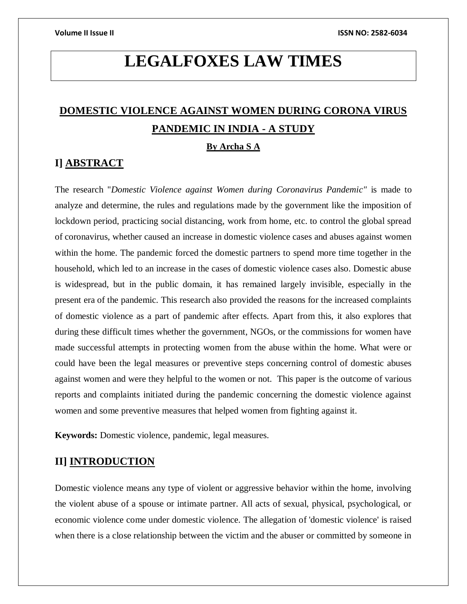# **LEGALFOXES LAW TIMES**

# **DOMESTIC VIOLENCE AGAINST WOMEN DURING CORONA VIRUS PANDEMIC IN INDIA - A STUDY**

### **By Archa S A**

## **I] ABSTRACT**

The research "*Domestic Violence against Women during Coronavirus Pandemic"* is made to analyze and determine, the rules and regulations made by the government like the imposition of lockdown period, practicing social distancing, work from home, etc. to control the global spread of coronavirus, whether caused an increase in domestic violence cases and abuses against women within the home. The pandemic forced the domestic partners to spend more time together in the household, which led to an increase in the cases of domestic violence cases also. Domestic abuse is widespread, but in the public domain, it has remained largely invisible, especially in the present era of the pandemic. This research also provided the reasons for the increased complaints of domestic violence as a part of pandemic after effects. Apart from this, it also explores that during these difficult times whether the government, NGOs, or the commissions for women have made successful attempts in protecting women from the abuse within the home. What were or could have been the legal measures or preventive steps concerning control of domestic abuses against women and were they helpful to the women or not. This paper is the outcome of various reports and complaints initiated during the pandemic concerning the domestic violence against women and some preventive measures that helped women from fighting against it.

**Keywords:** Domestic violence, pandemic, legal measures.

### **II] INTRODUCTION**

Domestic violence means any type of violent or aggressive behavior within the home, involving the violent abuse of a spouse or intimate partner. All acts of sexual, physical, psychological, or economic violence come under domestic violence. The allegation of 'domestic violence' is raised when there is a close relationship between the victim and the abuser or committed by someone in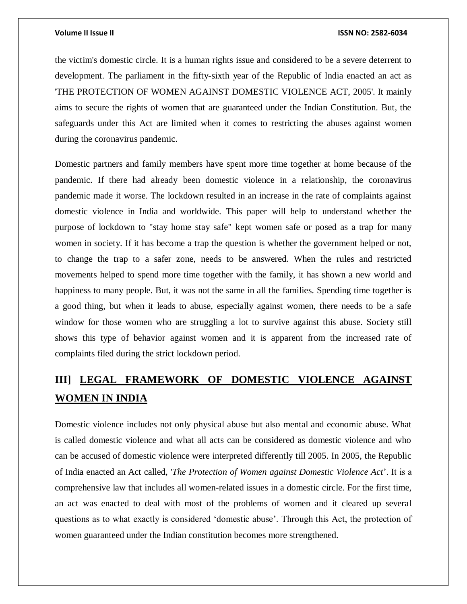### **Volume II Issue II ISSN NO: 2582-6034**

the victim's domestic circle. It is a human rights issue and considered to be a severe deterrent to development. The parliament in the fifty-sixth year of the Republic of India enacted an act as 'THE PROTECTION OF WOMEN AGAINST DOMESTIC VIOLENCE ACT, 2005'. It mainly aims to secure the rights of women that are guaranteed under the Indian Constitution. But, the safeguards under this Act are limited when it comes to restricting the abuses against women during the coronavirus pandemic.

Domestic partners and family members have spent more time together at home because of the pandemic. If there had already been domestic violence in a relationship, the coronavirus pandemic made it worse. The lockdown resulted in an increase in the rate of complaints against domestic violence in India and worldwide. This paper will help to understand whether the purpose of lockdown to "stay home stay safe" kept women safe or posed as a trap for many women in society. If it has become a trap the question is whether the government helped or not, to change the trap to a safer zone, needs to be answered. When the rules and restricted movements helped to spend more time together with the family, it has shown a new world and happiness to many people. But, it was not the same in all the families. Spending time together is a good thing, but when it leads to abuse, especially against women, there needs to be a safe window for those women who are struggling a lot to survive against this abuse. Society still shows this type of behavior against women and it is apparent from the increased rate of complaints filed during the strict lockdown period.

# **III] LEGAL FRAMEWORK OF DOMESTIC VIOLENCE AGAINST WOMEN IN INDIA**

Domestic violence includes not only physical abuse but also mental and economic abuse. What is called domestic violence and what all acts can be considered as domestic violence and who can be accused of domestic violence were interpreted differently till 2005. In 2005, the Republic of India enacted an Act called, '*The Protection of Women against Domestic Violence Act*'. It is a comprehensive law that includes all women-related issues in a domestic circle. For the first time, an act was enacted to deal with most of the problems of women and it cleared up several questions as to what exactly is considered 'domestic abuse'. Through this Act, the protection of women guaranteed under the Indian constitution becomes more strengthened.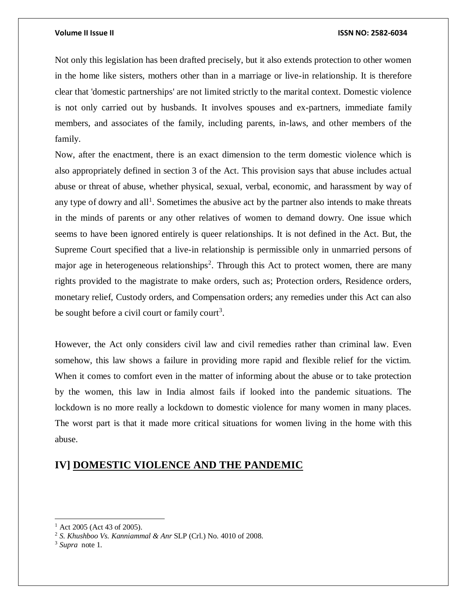### **Volume II Issue II ISSN NO: 2582-6034**

Not only this legislation has been drafted precisely, but it also extends protection to other women in the home like sisters, mothers other than in a marriage or live-in relationship. It is therefore clear that 'domestic partnerships' are not limited strictly to the marital context. Domestic violence is not only carried out by husbands. It involves spouses and ex-partners, immediate family members, and associates of the family, including parents, in-laws, and other members of the family.

Now, after the enactment, there is an exact dimension to the term domestic violence which is also appropriately defined in section 3 of the Act. This provision says that abuse includes actual abuse or threat of abuse, whether physical, sexual, verbal, economic, and harassment by way of any type of dowry and all<sup>1</sup>. Sometimes the abusive act by the partner also intends to make threats in the minds of parents or any other relatives of women to demand dowry. One issue which seems to have been ignored entirely is queer relationships. It is not defined in the Act. But, the Supreme Court specified that a live-in relationship is permissible only in unmarried persons of major age in heterogeneous relationships<sup>2</sup>. Through this Act to protect women, there are many rights provided to the magistrate to make orders, such as; Protection orders, Residence orders, monetary relief, Custody orders, and Compensation orders; any remedies under this Act can also be sought before a civil court or family court<sup>3</sup>.

However, the Act only considers civil law and civil remedies rather than criminal law. Even somehow, this law shows a failure in providing more rapid and flexible relief for the victim. When it comes to comfort even in the matter of informing about the abuse or to take protection by the women, this law in India almost fails if looked into the pandemic situations. The lockdown is no more really a lockdown to domestic violence for many women in many places. The worst part is that it made more critical situations for women living in the home with this abuse.

## **IV] DOMESTIC VIOLENCE AND THE PANDEMIC**

 $\overline{a}$ 

 $^{1}$  Act 2005 (Act 43 of 2005).

<sup>2</sup> *[S. Khushboo Vs. Kanniammal & Anr](https://indiankanoon.org/doc/1327342/)* SLP (Crl.) No. 4010 of 2008.

<sup>3</sup> *Supra* note 1.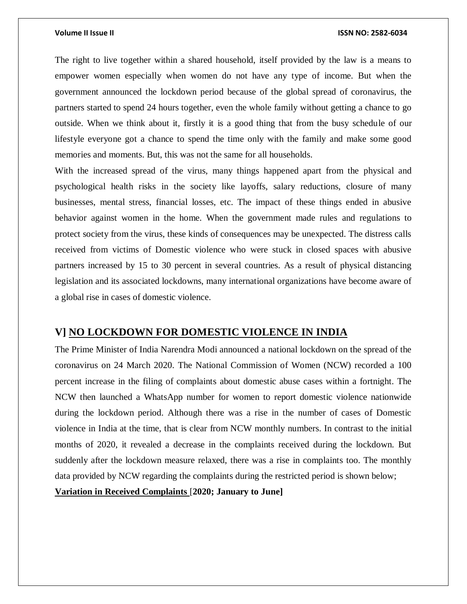### **Volume II Issue II ISSN NO: 2582-6034**

The right to live together within a shared household, itself provided by the law is a means to empower women especially when women do not have any type of income. But when the government announced the lockdown period because of the global spread of coronavirus, the partners started to spend 24 hours together, even the whole family without getting a chance to go outside. When we think about it, firstly it is a good thing that from the busy schedule of our lifestyle everyone got a chance to spend the time only with the family and make some good memories and moments. But, this was not the same for all households.

With the increased spread of the virus, many things happened apart from the physical and psychological health risks in the society like layoffs, salary reductions, closure of many businesses, mental stress, financial losses, etc. The impact of these things ended in abusive behavior against women in the home. When the government made rules and regulations to protect society from the virus, these kinds of consequences may be unexpected. The distress calls received from victims of Domestic violence who were stuck in closed spaces with abusive partners increased by 15 to 30 percent in several countries. As a result of physical distancing legislation and its associated lockdowns, many international organizations have become aware of a global rise in cases of domestic violence.

### **V] NO LOCKDOWN FOR DOMESTIC VIOLENCE IN INDIA**

The Prime Minister of India Narendra Modi announced a national lockdown on the spread of the coronavirus on 24 March 2020. The National Commission of Women (NCW) recorded a 100 percent increase in the filing of complaints about domestic abuse cases within a fortnight. The NCW then launched a WhatsApp number for women to report domestic violence nationwide during the lockdown period. Although there was a rise in the number of cases of Domestic violence in India at the time, that is clear from NCW monthly numbers. In contrast to the initial months of 2020, it revealed a decrease in the complaints received during the lockdown. But suddenly after the lockdown measure relaxed, there was a rise in complaints too. The monthly data provided by NCW regarding the complaints during the restricted period is shown below;

**Variation in Received Complaints** [**2020; January to June]**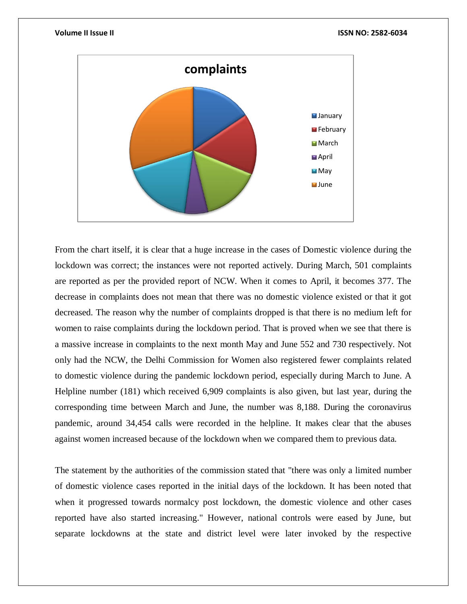

From the chart itself, it is clear that a huge increase in the cases of Domestic violence during the lockdown was correct; the instances were not reported actively. During March, 501 complaints are reported as per the provided report of NCW. When it comes to April, it becomes 377. The decrease in complaints does not mean that there was no domestic violence existed or that it got decreased. The reason why the number of complaints dropped is that there is no medium left for women to raise complaints during the lockdown period. That is proved when we see that there is a massive increase in complaints to the next month May and June 552 and 730 respectively. Not only had the NCW, the Delhi Commission for Women also registered fewer complaints related to domestic violence during the pandemic lockdown period, especially during March to June. A Helpline number (181) which received 6,909 complaints is also given, but last year, during the corresponding time between March and June, the number was 8,188. During the coronavirus pandemic, around 34,454 calls were recorded in the helpline. It makes clear that the abuses against women increased because of the lockdown when we compared them to previous data.

The statement by the authorities of the commission stated that "there was only a limited number of domestic violence cases reported in the initial days of the lockdown. It has been noted that when it progressed towards normalcy post lockdown, the domestic violence and other cases reported have also started increasing." However, national controls were eased by June, but separate lockdowns at the state and district level were later invoked by the respective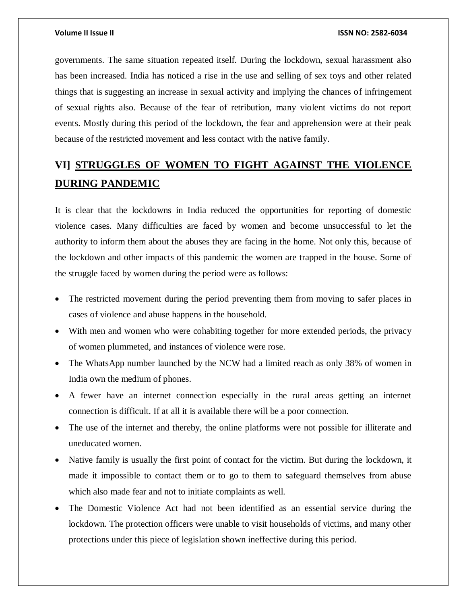governments. The same situation repeated itself. During the lockdown, sexual harassment also has been increased. India has noticed a rise in the use and selling of sex toys and other related things that is suggesting an increase in sexual activity and implying the chances of infringement of sexual rights also. Because of the fear of retribution, many violent victims do not report events. Mostly during this period of the lockdown, the fear and apprehension were at their peak because of the restricted movement and less contact with the native family.

# **VI] STRUGGLES OF WOMEN TO FIGHT AGAINST THE VIOLENCE DURING PANDEMIC**

It is clear that the lockdowns in India reduced the opportunities for reporting of domestic violence cases. Many difficulties are faced by women and become unsuccessful to let the authority to inform them about the abuses they are facing in the home. Not only this, because of the lockdown and other impacts of this pandemic the women are trapped in the house. Some of the struggle faced by women during the period were as follows:

- The restricted movement during the period preventing them from moving to safer places in cases of violence and abuse happens in the household.
- With men and women who were cohabiting together for more extended periods, the privacy of women plummeted, and instances of violence were rose.
- The [WhatsApp number](https://www.thehindu.com/news/national/ncw-launches-domestic-violence-helpline/article31312219.ece) launched by the NCW had a limited reach as only 38% of women in [India own the medium of phones.](https://epod.cid.harvard.edu/project/understanding-barriers-and-impacts-womens-cell-phone-adoption-india)
- A fewer have an internet connection especially in the rural areas getting an internet connection is difficult. If at all it is available there will be a poor connection.
- The use of the internet and thereby, the online platforms were not possible for illiterate and uneducated women.
- Native family is usually the first point of contact for the victim. But during the lockdown, it made it impossible to contact them or to go to them to safeguard themselves from abuse which also made fear and not to initiate complaints as well.
- The Domestic Violence Act had not been identified as an essential service during the lockdown. The protection officers were unable to visit households of victims, and many other protections under this piece of legislation shown ineffective during this period.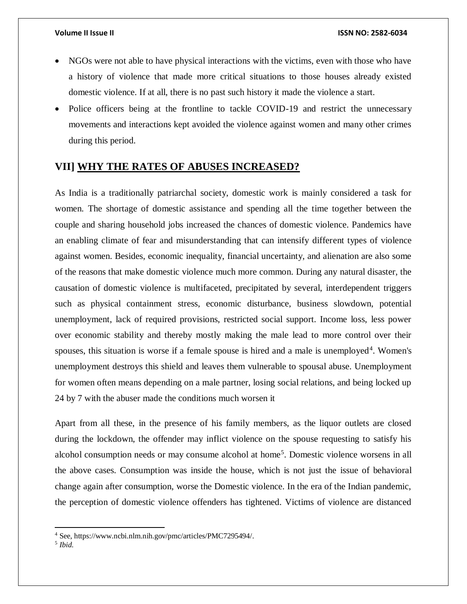- NGOs were not able to have physical interactions with the victims, even with those who have a history of violence that made more critical situations to those houses already existed domestic violence. If at all, there is no past such history it made the violence a start.
- Police officers being at the frontline to tackle COVID-19 and restrict the unnecessary movements and interactions kept avoided the violence against women and many other crimes during this period.

## **VII] WHY THE RATES OF ABUSES INCREASED?**

As India is a traditionally patriarchal society, domestic work is mainly considered a task for women. The shortage of domestic assistance and spending all the time together between the couple and sharing household jobs increased the chances of domestic violence. Pandemics have an enabling climate of fear and misunderstanding that can intensify different types of violence against women. Besides, economic inequality, financial uncertainty, and alienation are also some of the reasons that make domestic violence much more common. During any natural disaster, the causation of domestic violence is multifaceted, precipitated by several, interdependent triggers such as physical containment stress, economic disturbance, business slowdown, potential unemployment, lack of required provisions, restricted social support. Income loss, less power over economic stability and thereby mostly making the male lead to more control over their spouses, this situation is worse if a female spouse is hired and a male is unemployed<sup>4</sup>. Women's unemployment destroys this shield and leaves them vulnerable to spousal abuse. Unemployment for women often means depending on a male partner, losing social relations, and being locked up 24 by 7 with the abuser made the conditions much worsen it

Apart from all these, in the presence of his family members, as the liquor outlets are closed during the lockdown, the offender may inflict violence on the spouse requesting to satisfy his alcohol consumption needs or may consume alcohol at home<sup>5</sup>. Domestic violence worsens in all the above cases. Consumption was inside the house, which is not just the issue of behavioral change again after consumption, worse the Domestic violence. In the era of the Indian pandemic, the perception of domestic violence offenders has tightened. Victims of violence are distanced

 $\overline{\phantom{a}}$ 

<sup>4</sup> See, https://www.ncbi.nlm.nih.gov/pmc/articles/PMC7295494/.

<sup>5</sup> *Ibid*.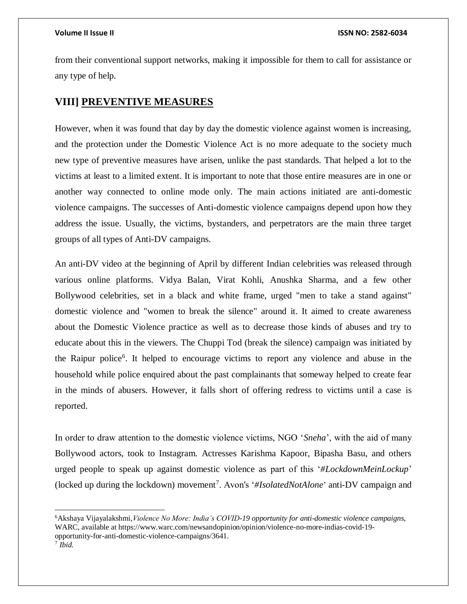from their conventional support networks, making it impossible for them to call for assistance or any type of help.

## **VIII] PREVENTIVE MEASURES**

However, when it was found that day by day the domestic violence against women is increasing, and the protection under the Domestic Violence Act is no more adequate to the society much new type of preventive measures have arisen, unlike the past standards. That helped a lot to the victims at least to a limited extent. It is important to note that those entire measures are in one or another way connected to online mode only. The main actions initiated are anti-domestic violence campaigns. The successes of Anti-domestic violence campaigns depend upon how they address the issue. Usually, the victims, bystanders, and perpetrators are the main three target groups of all types of Anti-DV campaigns.

An anti-DV video at the beginning of April by different Indian celebrities was released through various online platforms. Vidya Balan, Virat Kohli, Anushka Sharma, and a few other Bollywood celebrities, set in a black and white frame, urged "men to take a stand against" domestic violence and "women to break the silence" around it. It aimed to create awareness about the Domestic Violence practice as well as to decrease those kinds of abuses and try to educate about this in the viewers. The [Chuppi Tod](https://timesofindia.indiatimes.com/city/raipur/raipur-polices-chuppitod-campaign-to-deal-with-domestic-violence-survivors/articleshow/75714642.cms) (break the silence) campaign was initiated by the Raipur police<sup>6</sup>. It helped to encourage victims to report any violence and abuse in the household while police enquired about the past complainants that someway helped to create fear in the minds of abusers. However, it falls short of offering redress to victims until a case is reported.

In order to draw attention to the domestic violence victims, NGO '*Sneha*', with the aid of many Bollywood actors, took to Instagram. Actresses Karishma Kapoor, Bipasha Basu, and others urged people to speak up against domestic violence as part of this '*#LockdownMeinLockup*' (locked up during the lockdown) movement<sup>7</sup>. Avon's '[#IsolatedNotAlone](https://www.financialexpress.com/brandwagon/avon-launches-isolatednotalone-to-support-domestic-violence-survivors/1949047/)' anti-DV campaign and

 $\overline{a}$ 

<sup>6</sup>Akshaya Vijayalakshmi,*Violence No More: India's COVID-19 opportunity for anti-domestic violence campaigns*, WARC, available at https://www.warc.com/newsandopinion/opinion/violence-no-more-indias-covid-19 opportunity-for-anti-domestic-violence-campaigns/3641.

<sup>7</sup> *Ibid.*